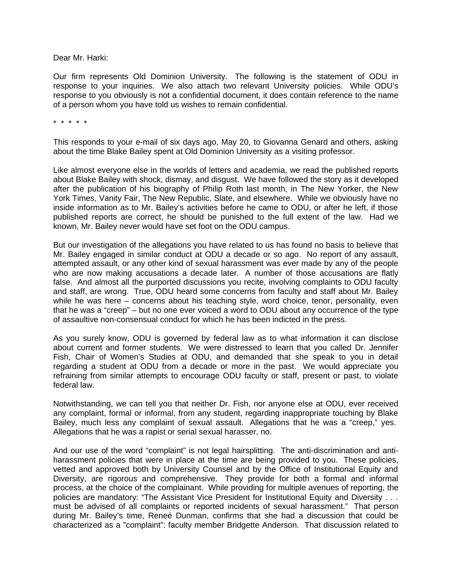Dear Mr. Harki:

Our firm represents Old Dominion University. The following is the statement of ODU in response to your inquiries. We also attach two relevant University policies. While ODU's response to you obviously is not a confidential document, it does contain reference to the name of a person whom you have told us wishes to remain confidential.

\* \* \* \* \*

This responds to your e-mail of six days ago, May 20, to Giovanna Genard and others, asking about the time Blake Bailey spent at Old Dominion University as a visiting professor.

Like almost everyone else in the worlds of letters and academia, we read the published reports about Blake Bailey with shock, dismay, and disgust. We have followed the story as it developed after the publication of his biography of Philip Roth last month, in The New Yorker, the New York Times, Vanity Fair, The New Republic, Slate, and elsewhere. While we obviously have no inside information as to Mr. Bailey's activities before he came to ODU, or after he left, if those published reports are correct, he should be punished to the full extent of the law. Had we known, Mr. Bailey never would have set foot on the ODU campus.

But our investigation of the allegations you have related to us has found no basis to believe that Mr. Bailey engaged in similar conduct at ODU a decade or so ago. No report of any assault, attempted assault, or any other kind of sexual harassment was ever made by any of the people who are now making accusations a decade later. A number of those accusations are flatly false. And almost all the purported discussions you recite, involving complaints to ODU faculty and staff, are wrong. True, ODU heard some concerns from faculty and staff about Mr. Bailey while he was here – concerns about his teaching style, word choice, tenor, personality, even that he was a "creep" – but no one ever voiced a word to ODU about any occurrence of the type of assaultive non-consensual conduct for which he has been indicted in the press.

As you surely know, ODU is governed by federal law as to what information it can disclose about current and former students. We were distressed to learn that you called Dr. Jennifer Fish, Chair of Women's Studies at ODU, and demanded that she speak to you in detail regarding a student at ODU from a decade or more in the past. We would appreciate you refraining from similar attempts to encourage ODU faculty or staff, present or past, to violate federal law.

Notwithstanding, we can tell you that neither Dr. Fish, nor anyone else at ODU, ever received any complaint, formal or informal, from any student, regarding inappropriate touching by Blake Bailey, much less any complaint of sexual assault. Allegations that he was a "creep," yes. Allegations that he was a rapist or serial sexual harasser, no.

And our use of the word "complaint" is not legal hairsplitting. The anti-discrimination and antiharassment policies that were in place at the time are being provided to you. These policies, vetted and approved both by University Counsel and by the Office of Institutional Equity and Diversity, are rigorous and comprehensive. They provide for both a formal and informal process, at the choice of the complainant. While providing for multiple avenues of reporting, the policies are mandatory: "The Assistant Vice President for Institutional Equity and Diversity . . . must be advised of all complaints or reported incidents of sexual harassment." That person during Mr. Bailey's time, Reneé Dunman, confirms that she had a discussion that could be characterized as a "complaint": faculty member Bridgette Anderson. That discussion related to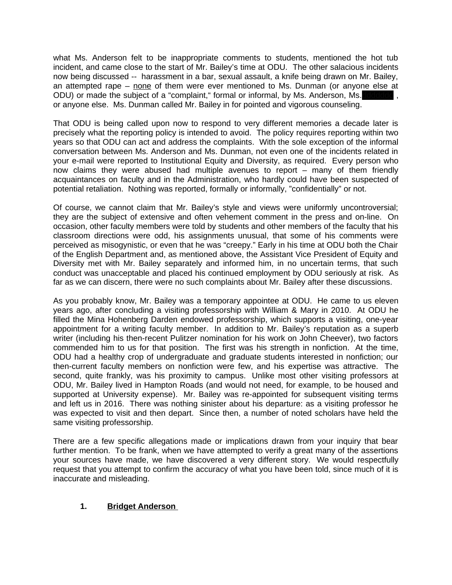what Ms. Anderson felt to be inappropriate comments to students, mentioned the hot tub incident, and came close to the start of Mr. Bailey's time at ODU. The other salacious incidents now being discussed -- harassment in a bar, sexual assault, a knife being drawn on Mr. Bailey, an attempted rape – none of them were ever mentioned to Ms. Dunman (or anyone else at ODU) or made the subject of a "complaint," formal or informal, by Ms. Anderson, Ms. or anyone else. Ms. Dunman called Mr. Bailey in for pointed and vigorous counseling.

That ODU is being called upon now to respond to very different memories a decade later is precisely what the reporting policy is intended to avoid. The policy requires reporting within two years so that ODU can act and address the complaints. With the sole exception of the informal conversation between Ms. Anderson and Ms. Dunman, not even one of the incidents related in your e-mail were reported to Institutional Equity and Diversity, as required. Every person who now claims they were abused had multiple avenues to report – many of them friendly acquaintances on faculty and in the Administration, who hardly could have been suspected of potential retaliation. Nothing was reported, formally or informally, "confidentially" or not.

Of course, we cannot claim that Mr. Bailey's style and views were uniformly uncontroversial; they are the subject of extensive and often vehement comment in the press and on-line. On occasion, other faculty members were told by students and other members of the faculty that his classroom directions were odd, his assignments unusual, that some of his comments were perceived as misogynistic, or even that he was "creepy." Early in his time at ODU both the Chair of the English Department and, as mentioned above, the Assistant Vice President of Equity and Diversity met with Mr. Bailey separately and informed him, in no uncertain terms, that such conduct was unacceptable and placed his continued employment by ODU seriously at risk. As far as we can discern, there were no such complaints about Mr. Bailey after these discussions.

As you probably know, Mr. Bailey was a temporary appointee at ODU. He came to us eleven years ago, after concluding a visiting professorship with William & Mary in 2010. At ODU he filled the Mina Hohenberg Darden endowed professorship, which supports a visiting, one-year appointment for a writing faculty member. In addition to Mr. Bailey's reputation as a superb writer (including his then-recent Pulitzer nomination for his work on John Cheever), two factors commended him to us for that position. The first was his strength in nonfiction. At the time, ODU had a healthy crop of undergraduate and graduate students interested in nonfiction; our then-current faculty members on nonfiction were few, and his expertise was attractive. The second, quite frankly, was his proximity to campus. Unlike most other visiting professors at ODU, Mr. Bailey lived in Hampton Roads (and would not need, for example, to be housed and supported at University expense). Mr. Bailey was re-appointed for subsequent visiting terms and left us in 2016. There was nothing sinister about his departure: as a visiting professor he was expected to visit and then depart. Since then, a number of noted scholars have held the same visiting professorship.

There are a few specific allegations made or implications drawn from your inquiry that bear further mention. To be frank, when we have attempted to verify a great many of the assertions your sources have made, we have discovered a very different story. We would respectfully request that you attempt to confirm the accuracy of what you have been told, since much of it is inaccurate and misleading.

## **1. Bridget Anderson**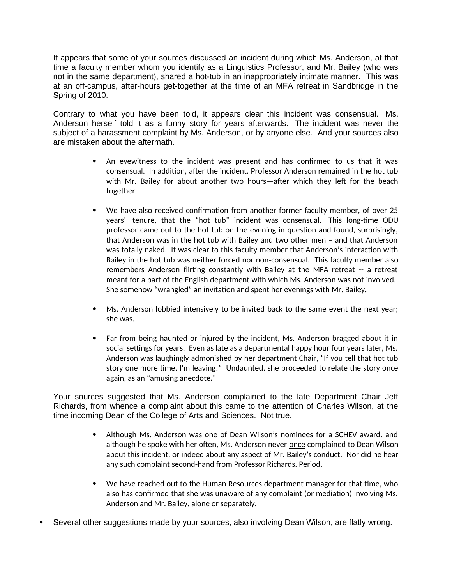It appears that some of your sources discussed an incident during which Ms. Anderson, at that time a faculty member whom you identify as a Linguistics Professor, and Mr. Bailey (who was not in the same department), shared a hot-tub in an inappropriately intimate manner. This was at an off-campus, after-hours get-together at the time of an MFA retreat in Sandbridge in the Spring of 2010.

Contrary to what you have been told, it appears clear this incident was consensual. Ms. Anderson herself told it as a funny story for years afterwards. The incident was never the subject of a harassment complaint by Ms. Anderson, or by anyone else. And your sources also are mistaken about the aftermath.

- An eyewitness to the incident was present and has confirmed to us that it was consensual. In addition, after the incident. Professor Anderson remained in the hot tub with Mr. Bailey for about another two hours—after which they left for the beach together.
- We have also received confirmation from another former faculty member, of over 25 years' tenure, that the "hot tub" incident was consensual. This long-time ODU professor came out to the hot tub on the evening in question and found, surprisingly, that Anderson was in the hot tub with Bailey and two other men – and that Anderson was totally naked. It was clear to this faculty member that Anderson's interaction with Bailey in the hot tub was neither forced nor non-consensual. This faculty member also remembers Anderson flirting constantly with Bailey at the MFA retreat -- a retreat meant for a part of the English department with which Ms. Anderson was not involved. She somehow "wrangled" an invitation and spent her evenings with Mr. Bailey.
- Ms. Anderson lobbied intensively to be invited back to the same event the next year; she was.
- Far from being haunted or injured by the incident, Ms. Anderson bragged about it in social settings for years. Even as late as a departmental happy hour four years later, Ms. Anderson was laughingly admonished by her department Chair, "If you tell that hot tub story one more time, I'm leaving!" Undaunted, she proceeded to relate the story once again, as an "amusing anecdote."

Your sources suggested that Ms. Anderson complained to the late Department Chair Jeff Richards, from whence a complaint about this came to the attention of Charles Wilson, at the time incoming Dean of the College of Arts and Sciences. Not true.

- Although Ms. Anderson was one of Dean Wilson's nominees for a SCHEV award. and although he spoke with her often, Ms. Anderson never once complained to Dean Wilson about this incident, or indeed about any aspect of Mr. Bailey's conduct. Nor did he hear any such complaint second-hand from Professor Richards. Period.
- We have reached out to the Human Resources department manager for that time, who also has confirmed that she was unaware of any complaint (or mediation) involving Ms. Anderson and Mr. Bailey, alone or separately.
- Several other suggestions made by your sources, also involving Dean Wilson, are flatly wrong.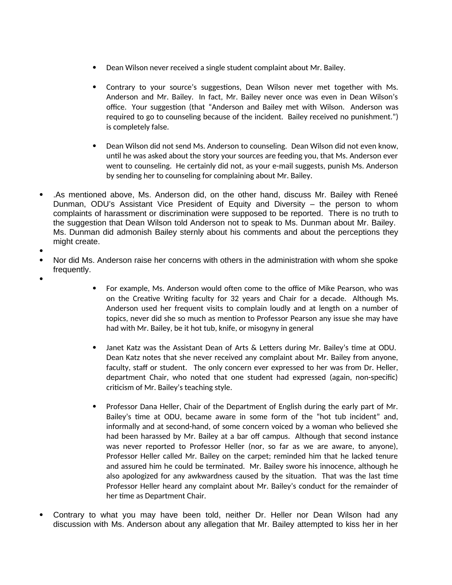- Dean Wilson never received a single student complaint about Mr. Bailey.
- Contrary to your source's suggestions, Dean Wilson never met together with Ms. Anderson and Mr. Bailey. In fact, Mr. Bailey never once was even in Dean Wilson's office. Your suggestion (that "Anderson and Bailey met with Wilson. Anderson was required to go to counseling because of the incident. Bailey received no punishment.") is completely false.
- Dean Wilson did not send Ms. Anderson to counseling. Dean Wilson did not even know, until he was asked about the story your sources are feeding you, that Ms. Anderson ever went to counseling. He certainly did not, as your e-mail suggests, punish Ms. Anderson by sending her to counseling for complaining about Mr. Bailey.
- .As mentioned above, Ms. Anderson did, on the other hand, discuss Mr. Bailey with Reneé Dunman, ODU's Assistant Vice President of Equity and Diversity – the person to whom complaints of harassment or discrimination were supposed to be reported. There is no truth to the suggestion that Dean Wilson told Anderson not to speak to Ms. Dunman about Mr. Bailey. Ms. Dunman did admonish Bailey sternly about his comments and about the perceptions they might create.
- $\bullet$
- Nor did Ms. Anderson raise her concerns with others in the administration with whom she spoke frequently.
- $\bullet$
- For example, Ms. Anderson would often come to the office of Mike Pearson, who was on the Creative Writing faculty for 32 years and Chair for a decade. Although Ms. Anderson used her frequent visits to complain loudly and at length on a number of topics, never did she so much as mention to Professor Pearson any issue she may have had with Mr. Bailey, be it hot tub, knife, or misogyny in general
- Janet Katz was the Assistant Dean of Arts & Letters during Mr. Bailey's time at ODU. Dean Katz notes that she never received any complaint about Mr. Bailey from anyone, faculty, staff or student. The only concern ever expressed to her was from Dr. Heller, department Chair, who noted that one student had expressed (again, non-specific) criticism of Mr. Bailey's teaching style.
- Professor Dana Heller, Chair of the Department of English during the early part of Mr. Bailey's time at ODU, became aware in some form of the "hot tub incident" and, informally and at second-hand, of some concern voiced by a woman who believed she had been harassed by Mr. Bailey at a bar off campus. Although that second instance was never reported to Professor Heller (nor, so far as we are aware, to anyone), Professor Heller called Mr. Bailey on the carpet; reminded him that he lacked tenure and assured him he could be terminated. Mr. Bailey swore his innocence, although he also apologized for any awkwardness caused by the situation. That was the last time Professor Heller heard any complaint about Mr. Bailey's conduct for the remainder of her time as Department Chair.
- Contrary to what you may have been told, neither Dr. Heller nor Dean Wilson had any discussion with Ms. Anderson about any allegation that Mr. Bailey attempted to kiss her in her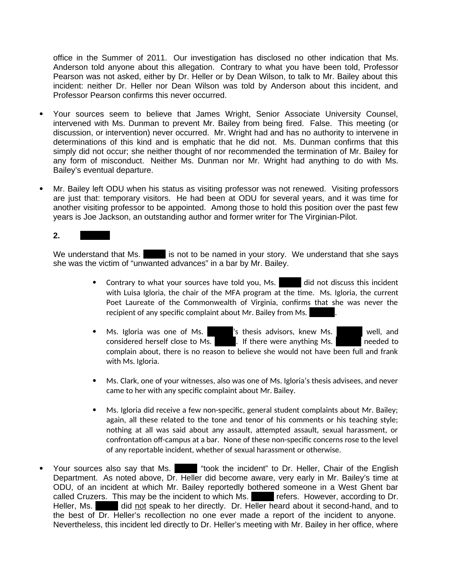office in the Summer of 2011. Our investigation has disclosed no other indication that Ms. Anderson told anyone about this allegation. Contrary to what you have been told, Professor Pearson was not asked, either by Dr. Heller or by Dean Wilson, to talk to Mr. Bailey about this incident: neither Dr. Heller nor Dean Wilson was told by Anderson about this incident, and Professor Pearson confirms this never occurred.

- Your sources seem to believe that James Wright, Senior Associate University Counsel, intervened with Ms. Dunman to prevent Mr. Bailey from being fired. False. This meeting (or discussion, or intervention) never occurred. Mr. Wright had and has no authority to intervene in determinations of this kind and is emphatic that he did not. Ms. Dunman confirms that this simply did not occur; she neither thought of nor recommended the termination of Mr. Bailey for any form of misconduct. Neither Ms. Dunman nor Mr. Wright had anything to do with Ms. Bailey's eventual departure.
- Mr. Bailey left ODU when his status as visiting professor was not renewed. Visiting professors are just that: temporary visitors. He had been at ODU for several years, and it was time for another visiting professor to be appointed. Among those to hold this position over the past few years is Joe Jackson, an outstanding author and former writer for The Virginian-Pilot.

**2. dddddd**

We understand that Ms. dis not to be named in your story. We understand that she says she was the victim of "unwanted advances" in a bar by Mr. Bailey.

- Contrary to what your sources have told you, Ms. did not discuss this incident with Luisa Igloria, the chair of the MFA program at the time. Ms. Igloria, the current Poet Laureate of the Commonwealth of Virginia, confirms that she was never the recipient of any specific complaint about Mr. Bailey from Ms.
- Ms. Igloria was one of Ms.  $\hbox{\Huge [}\,$  's thesis advisors, knew Ms.  $\hbox{\Huge [}\,$  well, and considered herself close to Ms.  $\blacksquare$  . If there were anything Ms.  $\blacksquare$  needed to complain about, there is no reason to believe she would not have been full and frank with Ms. Igloria.
- Ms. Clark, one of your witnesses, also was one of Ms. Igloria's thesis advisees, and never came to her with any specific complaint about Mr. Bailey.
- Ms. Igloria did receive a few non-specific, general student complaints about Mr. Bailey; again, all these related to the tone and tenor of his comments or his teaching style; nothing at all was said about any assault, attempted assault, sexual harassment, or confrontation off-campus at a bar. None of these non-specific concerns rose to the level of any reportable incident, whether of sexual harassment or otherwise.
- Your sources also say that Ms. **b** "took the incident" to Dr. Heller, Chair of the English Department. As noted above, Dr. Heller did become aware, very early in Mr. Bailey's time at ODU, of an incident at which Mr. Bailey reportedly bothered someone in a West Ghent bar called Cruzers. This may be the incident to which Ms. **Figure 1** refers. However, according to Dr. Heller, Ms. bbbb did not speak to her directly. Dr. Heller heard about it second-hand, and to the best of Dr. Heller's recollection no one ever made a report of the incident to anyone. Nevertheless, this incident led directly to Dr. Heller's meeting with Mr. Bailey in her office, where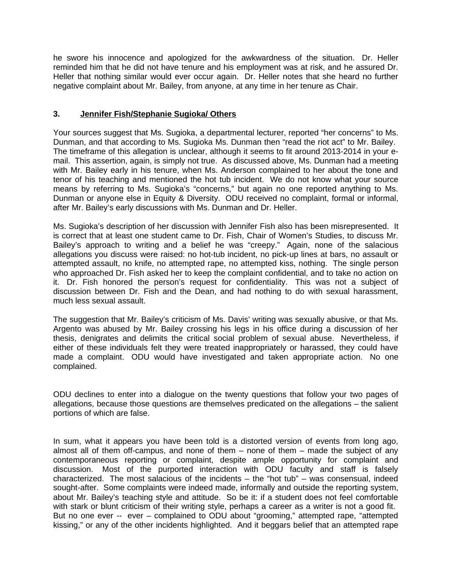he swore his innocence and apologized for the awkwardness of the situation. Dr. Heller reminded him that he did not have tenure and his employment was at risk, and he assured Dr. Heller that nothing similar would ever occur again. Dr. Heller notes that she heard no further negative complaint about Mr. Bailey, from anyone, at any time in her tenure as Chair.

## **3. Jennifer Fish/Stephanie Sugioka/ Others**

Your sources suggest that Ms. Sugioka, a departmental lecturer, reported "her concerns" to Ms. Dunman, and that according to Ms. Sugioka Ms. Dunman then "read the riot act" to Mr. Bailey. The timeframe of this allegation is unclear, although it seems to fit around 2013-2014 in your email. This assertion, again, is simply not true. As discussed above, Ms. Dunman had a meeting with Mr. Bailey early in his tenure, when Ms. Anderson complained to her about the tone and tenor of his teaching and mentioned the hot tub incident. We do not know what your source means by referring to Ms. Sugioka's "concerns," but again no one reported anything to Ms. Dunman or anyone else in Equity & Diversity. ODU received no complaint, formal or informal, after Mr. Bailey's early discussions with Ms. Dunman and Dr. Heller.

Ms. Sugioka's description of her discussion with Jennifer Fish also has been misrepresented. It is correct that at least one student came to Dr. Fish, Chair of Women's Studies, to discuss Mr. Bailey's approach to writing and a belief he was "creepy." Again, none of the salacious allegations you discuss were raised: no hot-tub incident, no pick-up lines at bars, no assault or attempted assault, no knife, no attempted rape, no attempted kiss, nothing. The single person who approached Dr. Fish asked her to keep the complaint confidential, and to take no action on it. Dr. Fish honored the person's request for confidentiality. This was not a subject of discussion between Dr. Fish and the Dean, and had nothing to do with sexual harassment, much less sexual assault.

The suggestion that Mr. Bailey's criticism of Ms. Davis' writing was sexually abusive, or that Ms. Argento was abused by Mr. Bailey crossing his legs in his office during a discussion of her thesis, denigrates and delimits the critical social problem of sexual abuse. Nevertheless, if either of these individuals felt they were treated inappropriately or harassed, they could have made a complaint. ODU would have investigated and taken appropriate action. No one complained.

ODU declines to enter into a dialogue on the twenty questions that follow your two pages of allegations, because those questions are themselves predicated on the allegations – the salient portions of which are false.

In sum, what it appears you have been told is a distorted version of events from long ago, almost all of them off-campus, and none of them – none of them – made the subject of any contemporaneous reporting or complaint, despite ample opportunity for complaint and discussion. Most of the purported interaction with ODU faculty and staff is falsely characterized. The most salacious of the incidents – the "hot tub" – was consensual, indeed sought-after. Some complaints were indeed made, informally and outside the reporting system, about Mr. Bailey's teaching style and attitude. So be it: if a student does not feel comfortable with stark or blunt criticism of their writing style, perhaps a career as a writer is not a good fit. But no one ever -- ever – complained to ODU about "grooming," attempted rape, "attempted kissing," or any of the other incidents highlighted. And it beggars belief that an attempted rape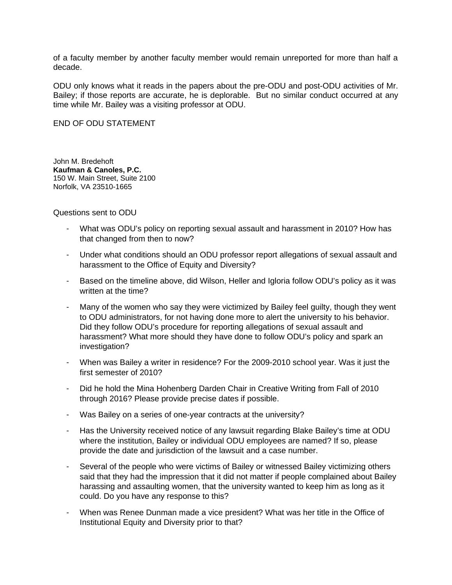of a faculty member by another faculty member would remain unreported for more than half a decade.

ODU only knows what it reads in the papers about the pre-ODU and post-ODU activities of Mr. Bailey; if those reports are accurate, he is deplorable. But no similar conduct occurred at any time while Mr. Bailey was a visiting professor at ODU.

END OF ODU STATEMENT

John M. Bredehoft **Kaufman & Canoles, P.C.** 150 W. Main Street, Suite 2100 Norfolk, VA 23510-1665

Questions sent to ODU

- What was ODU's policy on reporting sexual assault and harassment in 2010? How has that changed from then to now?
- Under what conditions should an ODU professor report allegations of sexual assault and harassment to the Office of Equity and Diversity?
- Based on the timeline above, did Wilson, Heller and Igloria follow ODU's policy as it was written at the time?
- Many of the women who say they were victimized by Bailey feel guilty, though they went to ODU administrators, for not having done more to alert the university to his behavior. Did they follow ODU's procedure for reporting allegations of sexual assault and harassment? What more should they have done to follow ODU's policy and spark an investigation?
- When was Bailey a writer in residence? For the 2009-2010 school year. Was it just the first semester of 2010?
- Did he hold the Mina Hohenberg Darden Chair in Creative Writing from Fall of 2010 through 2016? Please provide precise dates if possible.
- Was Bailey on a series of one-year contracts at the university?
- Has the University received notice of any lawsuit regarding Blake Bailey's time at ODU where the institution, Bailey or individual ODU employees are named? If so, please provide the date and jurisdiction of the lawsuit and a case number.
- Several of the people who were victims of Bailey or witnessed Bailey victimizing others said that they had the impression that it did not matter if people complained about Bailey harassing and assaulting women, that the university wanted to keep him as long as it could. Do you have any response to this?
- When was Renee Dunman made a vice president? What was her title in the Office of Institutional Equity and Diversity prior to that?